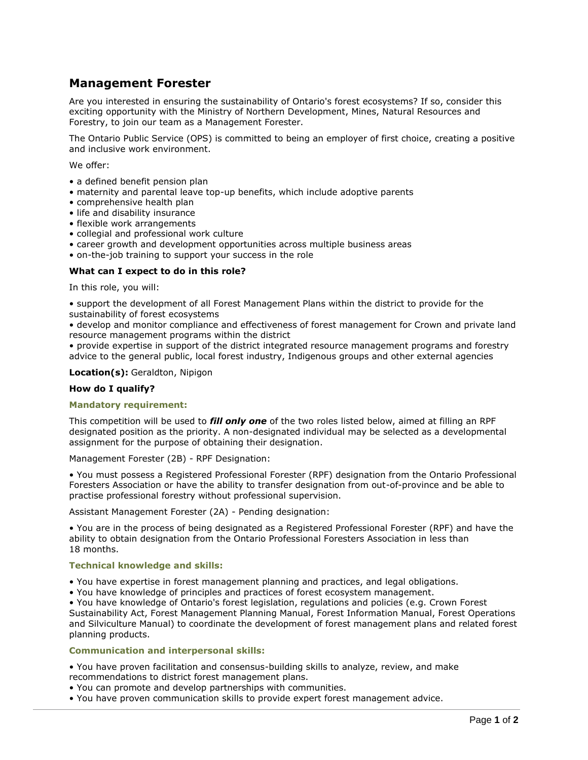# **Management Forester**

Are you interested in ensuring the sustainability of Ontario's forest ecosystems? If so, consider this exciting opportunity with the Ministry of Northern Development, Mines, Natural Resources and Forestry, to join our team as a Management Forester.

The Ontario Public Service (OPS) is committed to being an employer of first choice, creating a positive and inclusive work environment.

We offer:

- a defined benefit pension plan
- maternity and parental leave top-up benefits, which include adoptive parents
- comprehensive health plan
- life and disability insurance
- flexible work arrangements
- collegial and professional work culture
- career growth and development opportunities across multiple business areas
- on-the-job training to support your success in the role

## **What can I expect to do in this role?**

In this role, you will:

• support the development of all Forest Management Plans within the district to provide for the sustainability of forest ecosystems

• develop and monitor compliance and effectiveness of forest management for Crown and private land resource management programs within the district

• provide expertise in support of the district integrated resource management programs and forestry advice to the general public, local forest industry, Indigenous groups and other external agencies

## **Location(s):** Geraldton, Nipigon

## **How do I qualify?**

## **Mandatory requirement:**

This competition will be used to *fill only one* of the two roles listed below, aimed at filling an RPF designated position as the priority. A non-designated individual may be selected as a developmental assignment for the purpose of obtaining their designation.

Management Forester (2B) - RPF Designation:

• You must possess a Registered Professional Forester (RPF) designation from the Ontario Professional Foresters Association or have the ability to transfer designation from out-of-province and be able to practise professional forestry without professional supervision.

Assistant Management Forester (2A) - Pending designation:

• You are in the process of being designated as a Registered Professional Forester (RPF) and have the ability to obtain designation from the Ontario Professional Foresters Association in less than 18 months.

## **Technical knowledge and skills:**

- You have expertise in forest management planning and practices, and legal obligations.
- You have knowledge of principles and practices of forest ecosystem management.

• You have knowledge of Ontario's forest legislation, regulations and policies (e.g. Crown Forest Sustainability Act, Forest Management Planning Manual, Forest Information Manual, Forest Operations and Silviculture Manual) to coordinate the development of forest management plans and related forest planning products.

## **Communication and interpersonal skills:**

• You have proven facilitation and consensus-building skills to analyze, review, and make recommendations to district forest management plans.

- You can promote and develop partnerships with communities.
- You have proven communication skills to provide expert forest management advice.